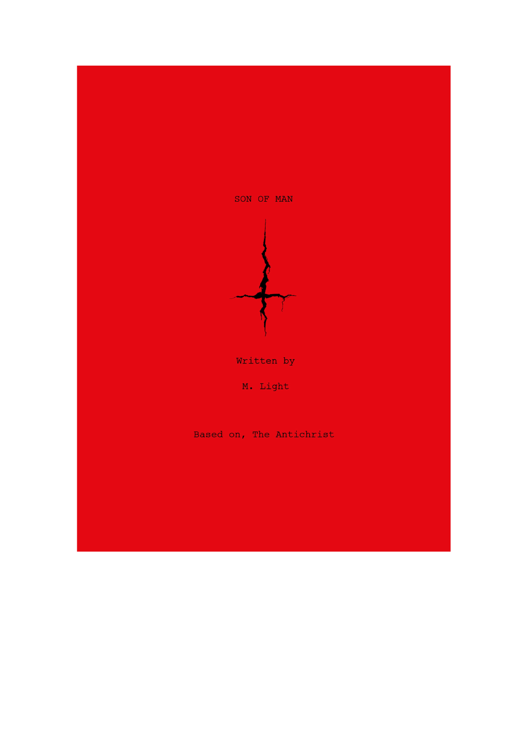

Written by

M. Light

Based on, The Antichrist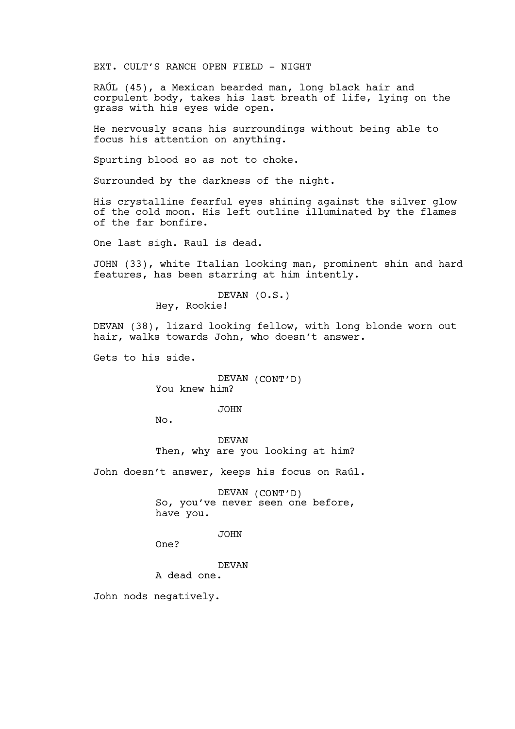EXT. CULT'S RANCH OPEN FIELD - NIGHT

RAÚL (45), a Mexican bearded man, long black hair and corpulent body, takes his last breath of life, lying on the grass with his eyes wide open.

He nervously scans his surroundings without being able to focus his attention on anything.

Spurting blood so as not to choke.

Surrounded by the darkness of the night.

His crystalline fearful eyes shining against the silver glow of the cold moon. His left outline illuminated by the flames of the far bonfire.

One last sigh. Raul is dead.

JOHN (33), white Italian looking man, prominent shin and hard features, has been starring at him intently.

> DEVAN (O.S.) Hey, Rookie!

DEVAN (38), lizard looking fellow, with long blonde worn out hair, walks towards John, who doesn't answer.

Gets to his side.

DEVAN (CONT'D) You knew him?

JOHN

No.

DEVAN Then, why are you looking at him?

John doesn't answer, keeps his focus on Raúl.

DEVAN (CONT'D) So, you've never seen one before, have you.

JOHN

One?

DEVAN

A dead one.

John nods negatively.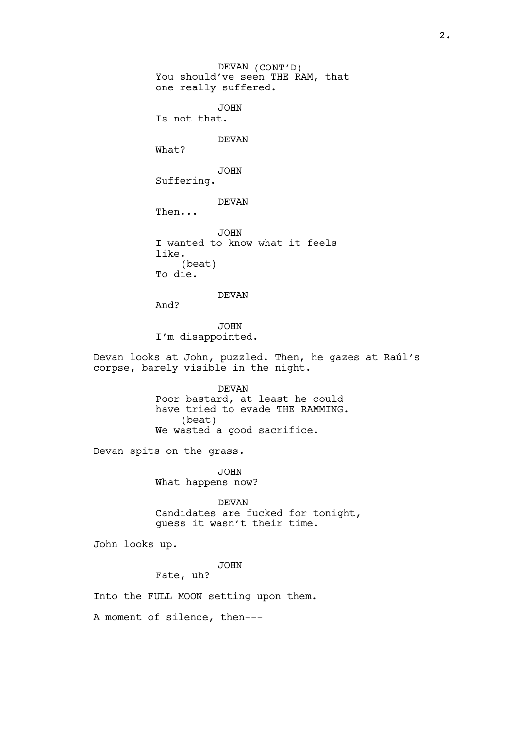DEVAN (CONT'D) You should've seen THE RAM, that one really suffered. JOHN Is not that. DEVAN What? JOHN Suffering. DEVAN Then... JOHN I wanted to know what it feels like. (beat) To die. DEVAN And? JOHN I'm disappointed. Devan looks at John, puzzled. Then, he gazes at Raúl's corpse, barely visible in the night. DEVAN Poor bastard, at least he could have tried to evade THE RAMMING. (beat) We wasted a good sacrifice. Devan spits on the grass. JOHN What happens now? DEVAN Candidates are fucked for tonight, guess it wasn't their time. John looks up. JOHN Fate, uh? Into the FULL MOON setting upon them.

A moment of silence, then---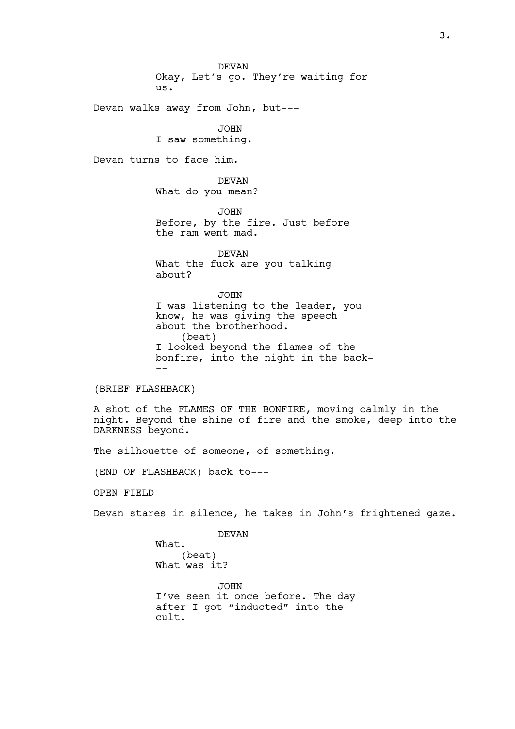DEVAN Okay, Let's go. They're waiting for us.

Devan walks away from John, but---

JOHN I saw something.

Devan turns to face him.

DEVAN What do you mean?

JOHN Before, by the fire. Just before the ram went mad.

DEVAN What the fuck are you talking about?

JOHN I was listening to the leader, you know, he was giving the speech about the brotherhood. (beat) I looked beyond the flames of the bonfire, into the night in the back- --

(BRIEF FLASHBACK)

A shot of the FLAMES OF THE BONFIRE, moving calmly in the night. Beyond the shine of fire and the smoke, deep into the DARKNESS beyond.

The silhouette of someone, of something.

(END OF FLASHBACK) back to---

OPEN FIELD

Devan stares in silence, he takes in John's frightened gaze.

DEVAN What. (beat) What was it? JOHN I've seen it once before. The day after I got "inducted" into the cult.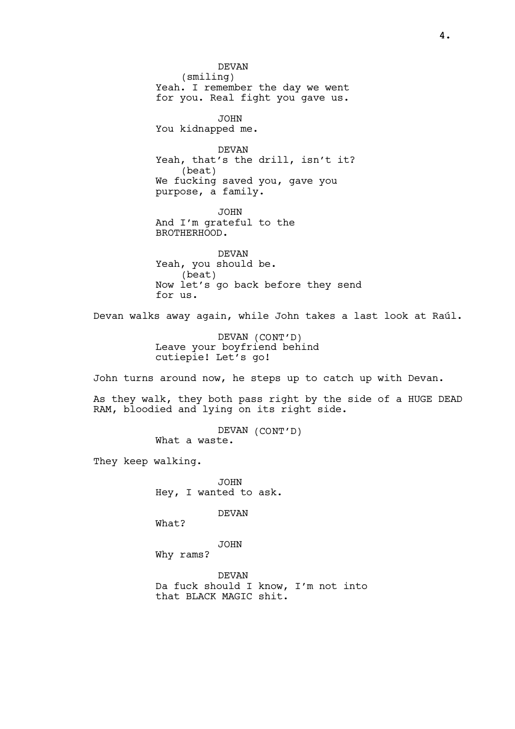DEVAN (smiling) Yeah. I remember the day we went for you. Real fight you gave us. JOHN You kidnapped me. DEVAN Yeah, that's the drill, isn't it? (beat) We fucking saved you, gave you purpose, a family. JOHN And I'm grateful to the BROTHERHOOD. DEVAN Yeah, you should be. (beat) Now let's go back before they send for us. Devan walks away again, while John takes a last look at Raúl. DEVAN (CONT'D) Leave your boyfriend behind cutiepie! Let's go! John turns around now, he steps up to catch up with Devan. As they walk, they both pass right by the side of a HUGE DEAD RAM, bloodied and lying on its right side. DEVAN (CONT'D) What a waste. They keep walking. JOHN Hey, I wanted to ask. DEVAN What? JOHN Why rams?

DEVAN Da fuck should I know, I'm not into that BLACK MAGIC shit.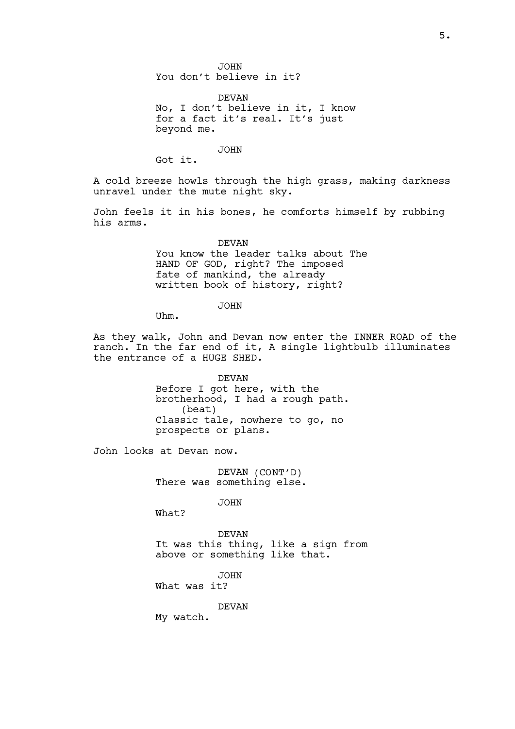JOHN You don't believe in it?

DEVAN No, I don't believe in it, I know for a fact it's real. It's just beyond me.

JOHN

Got it.

A cold breeze howls through the high grass, making darkness unravel under the mute night sky.

John feels it in his bones, he comforts himself by rubbing his arms.

> DEVAN You know the leader talks about The HAND OF GOD, right? The imposed fate of mankind, the already written book of history, right?

> > JOHN

Uhm.

As they walk, John and Devan now enter the INNER ROAD of the ranch. In the far end of it, A single lightbulb illuminates the entrance of a HUGE SHED.

> DEVAN Before I got here, with the brotherhood, I had a rough path. (beat) Classic tale, nowhere to go, no prospects or plans.

John looks at Devan now.

DEVAN (CONT'D) There was something else.

JOHN

What?

DEVAN It was this thing, like a sign from above or something like that.

JOHN What was it?

DEVAN

My watch.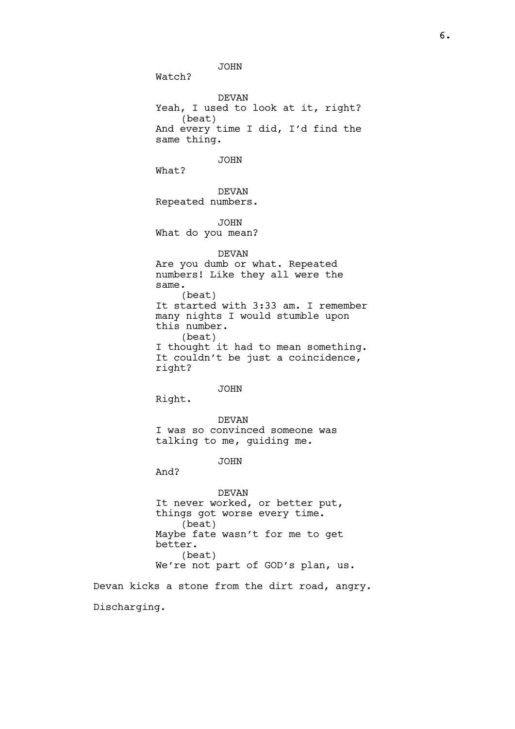JOHN

Watch?

DEVAN Yeah, I used to look at it, right? (beat) And every time I did, I'd find the same thing.

JOHN

What?

DEVAN Repeated numbers.

JOHN

What do you mean?

DEVAN

Are you dumb or what. Repeated numbers! Like they all were the same. (beat) It started with 3:33 am. I remember many nights I would stumble upon this number. (beat) I thought it had to mean something. It couldn't be just a coincidence, right?

JOHN

Right.

DEVAN I was so convinced someone was talking to me, guiding me.

JOHN

And?

DEVAN It never worked, or better put, things got worse every time. (beat) Maybe fate wasn't for me to get better. (beat) We're not part of GOD's plan, us.

Devan kicks a stone from the dirt road, angry. Discharging.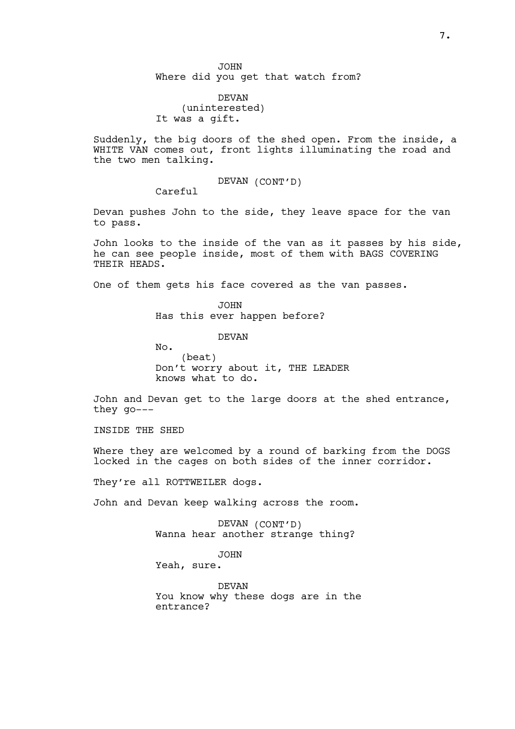DEVAN (uninterested) It was a gift.

Suddenly, the big doors of the shed open. From the inside, a WHITE VAN comes out, front lights illuminating the road and the two men talking.

DEVAN (CONT'D)

Careful

Devan pushes John to the side, they leave space for the van to pass.

John looks to the inside of the van as it passes by his side, he can see people inside, most of them with BAGS COVERING THEIR HEADS.

One of them gets his face covered as the van passes.

JOHN Has this ever happen before?

DEVAN

No. (beat) Don't worry about it, THE LEADER knows what to do.

John and Devan get to the large doors at the shed entrance, they go---

INSIDE THE SHED

Where they are welcomed by a round of barking from the DOGS locked in the cages on both sides of the inner corridor.

They're all ROTTWEILER dogs.

John and Devan keep walking across the room.

DEVAN (CONT'D) Wanna hear another strange thing?

JOHN

Yeah, sure.

DEVAN You know why these dogs are in the entrance?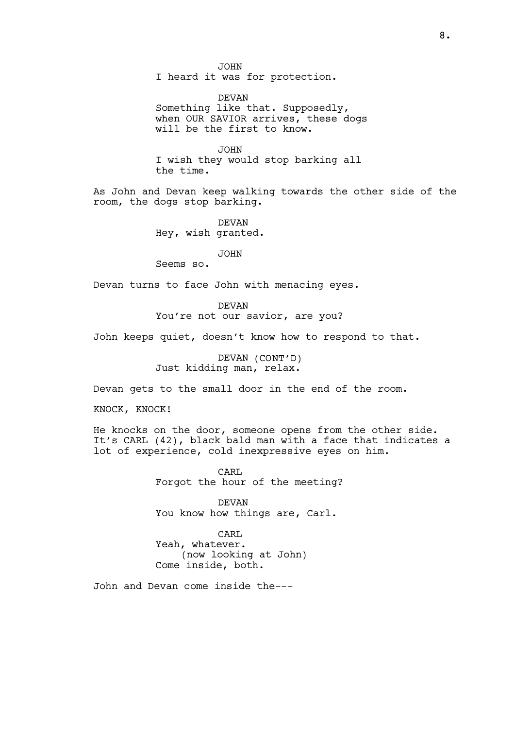JOHN I heard it was for protection.

DEVAN Something like that. Supposedly, when OUR SAVIOR arrives, these dogs will be the first to know.

JOHN I wish they would stop barking all the time.

As John and Devan keep walking towards the other side of the room, the dogs stop barking.

> DEVAN Hey, wish granted.

> > JOHN

Seems so.

Devan turns to face John with menacing eyes.

DEVAN You're not our savior, are you?

John keeps quiet, doesn't know how to respond to that.

DEVAN (CONT'D) Just kidding man, relax.

Devan gets to the small door in the end of the room.

KNOCK, KNOCK!

He knocks on the door, someone opens from the other side. It's CARL (42), black bald man with a face that indicates a lot of experience, cold inexpressive eyes on him.

> CARL Forgot the hour of the meeting?

DEVAN You know how things are, Carl.

CARL Yeah, whatever. (now looking at John) Come inside, both.

John and Devan come inside the---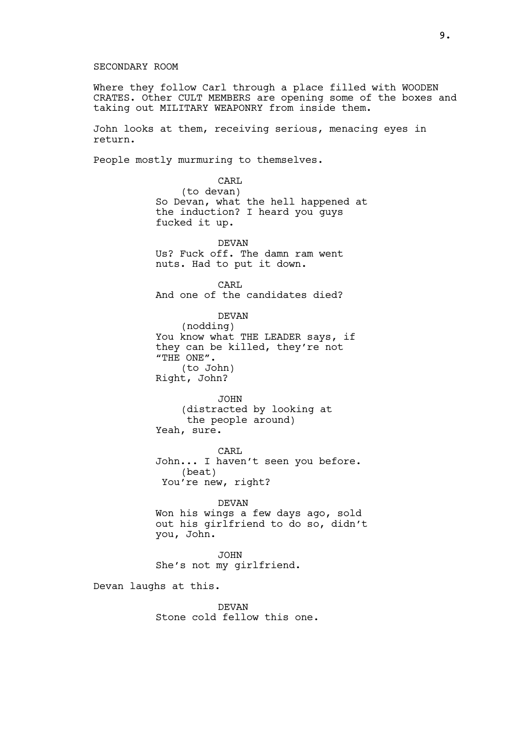## SECONDARY ROOM

Where they follow Carl through a place filled with WOODEN CRATES. Other CULT MEMBERS are opening some of the boxes and taking out MILITARY WEAPONRY from inside them.

John looks at them, receiving serious, menacing eyes in return.

People mostly murmuring to themselves.

CARL (to devan) So Devan, what the hell happened at the induction? I heard you guys fucked it up.

DEVAN Us? Fuck off. The damn ram went nuts. Had to put it down.

CARL And one of the candidates died?

DEVAN (nodding) You know what THE LEADER says, if they can be killed, they're not "THE ONE". (to John) Right, John?

JOHN (distracted by looking at the people around) Yeah, sure.

CARL John... I haven't seen you before. (beat) You're new, right?

## DEVAN

Won his wings a few days ago, sold out his girlfriend to do so, didn't you, John.

JOHN She's not my girlfriend.

Devan laughs at this.

DEVAN Stone cold fellow this one.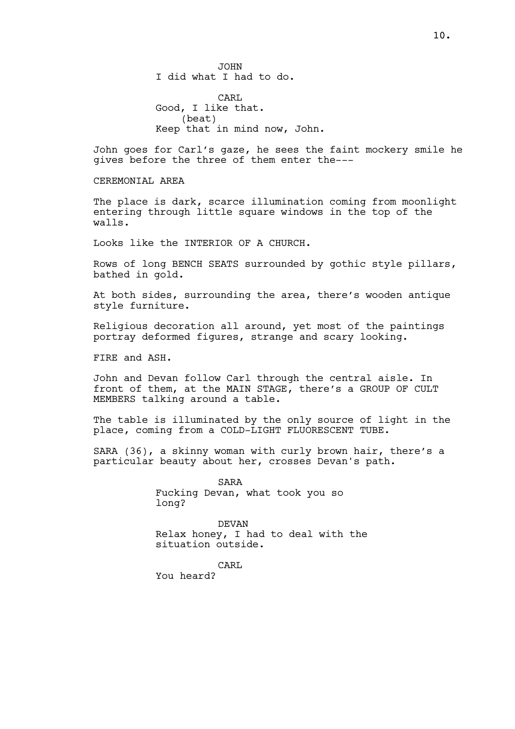JOHN I did what I had to do.

CARL Good, I like that. (beat) Keep that in mind now, John.

John goes for Carl's gaze, he sees the faint mockery smile he gives before the three of them enter the---

CEREMONTAL AREA

The place is dark, scarce illumination coming from moonlight entering through little square windows in the top of the walls.

Looks like the INTERIOR OF A CHURCH.

Rows of long BENCH SEATS surrounded by gothic style pillars, bathed in gold.

At both sides, surrounding the area, there's wooden antique style furniture.

Religious decoration all around, yet most of the paintings portray deformed figures, strange and scary looking.

FIRE and ASH.

John and Devan follow Carl through the central aisle. In front of them, at the MAIN STAGE, there's a GROUP OF CULT MEMBERS talking around a table.

The table is illuminated by the only source of light in the place, coming from a COLD-LIGHT FLUORESCENT TUBE.

SARA (36), a skinny woman with curly brown hair, there's a particular beauty about her, crosses Devan's path.

> SARA Fucking Devan, what took you so long?

DEVAN Relax honey, I had to deal with the situation outside.

CARL

You heard?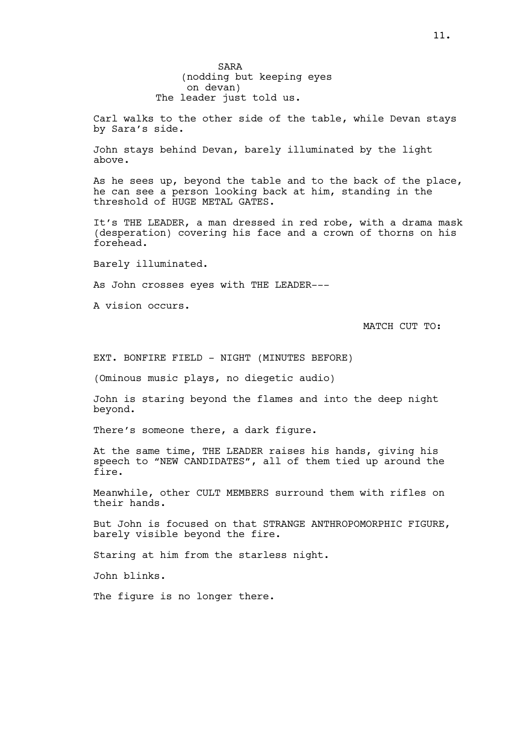SARA (nodding but keeping eyes on devan) The leader just told us.

Carl walks to the other side of the table, while Devan stays by Sara's side.

John stays behind Devan, barely illuminated by the light above.

As he sees up, beyond the table and to the back of the place, he can see a person looking back at him, standing in the threshold of HUGE METAL GATES.

It's THE LEADER, a man dressed in red robe, with a drama mask (desperation) covering his face and a crown of thorns on his forehead.

Barely illuminated.

As John crosses eyes with THE LEADER---

A vision occurs.

MATCH CUT TO:

EXT. BONFIRE FIELD - NIGHT (MINUTES BEFORE)

(Ominous music plays, no diegetic audio)

John is staring beyond the flames and into the deep night beyond.

There's someone there, a dark figure.

At the same time, THE LEADER raises his hands, giving his speech to "NEW CANDIDATES", all of them tied up around the fire.

Meanwhile, other CULT MEMBERS surround them with rifles on their hands.

But John is focused on that STRANGE ANTHROPOMORPHIC FIGURE, barely visible beyond the fire.

Staring at him from the starless night.

John blinks.

The figure is no longer there.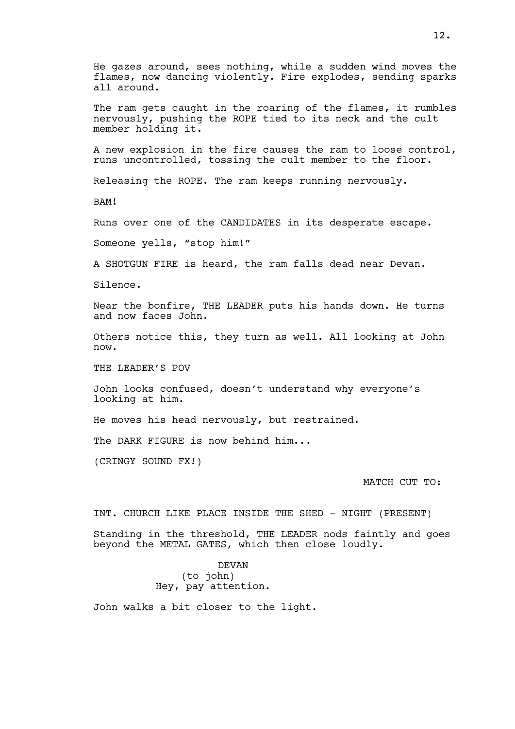He gazes around, sees nothing, while a sudden wind moves the flames, now dancing violently. Fire explodes, sending sparks all around. The ram gets caught in the roaring of the flames, it rumbles nervously, pushing the ROPE tied to its neck and the cult member holding it. A new explosion in the fire causes the ram to loose control, runs uncontrolled, tossing the cult member to the floor. Releasing the ROPE. The ram keeps running nervously. BAM! Runs over one of the CANDIDATES in its desperate escape. Someone yells, "stop him!" A SHOTGUN FIRE is heard, the ram falls dead near Devan. Silence. Near the bonfire, THE LEADER puts his hands down. He turns and now faces John. Others notice this, they turn as well. All looking at John now. THE LEADER'S POV John looks confused, doesn't understand why everyone's looking at him. He moves his head nervously, but restrained. The DARK FIGURE is now behind him... (CRINGY SOUND FX!) MATCH CUT TO: INT. CHURCH LIKE PLACE INSIDE THE SHED - NIGHT (PRESENT) Standing in the threshold, THE LEADER nods faintly and goes beyond the METAL GATES, which then close loudly.

DEVAN (to john) Hey, pay attention.

John walks a bit closer to the light.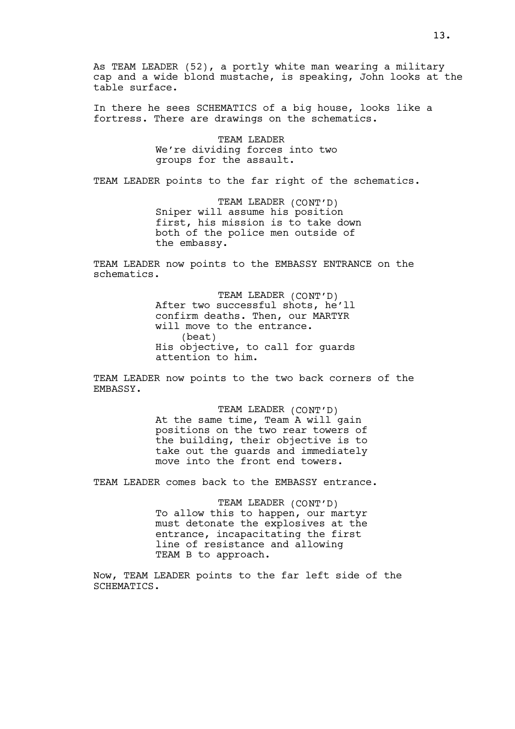As TEAM LEADER (52), a portly white man wearing a military cap and a wide blond mustache, is speaking, John looks at the table surface.

In there he sees SCHEMATICS of a big house, looks like a fortress. There are drawings on the schematics.

> TEAM LEADER We're dividing forces into two groups for the assault.

TEAM LEADER points to the far right of the schematics.

TEAM LEADER (CONT'D) Sniper will assume his position first, his mission is to take down both of the police men outside of the embassy.

TEAM LEADER now points to the EMBASSY ENTRANCE on the schematics.

> TEAM LEADER (CONT'D) After two successful shots, he'll confirm deaths. Then, our MARTYR will move to the entrance. (beat) His objective, to call for guards attention to him.

TEAM LEADER now points to the two back corners of the EMBASSY.

> TEAM LEADER (CONT'D) At the same time, Team A will gain positions on the two rear towers of the building, their objective is to take out the guards and immediately move into the front end towers.

TEAM LEADER comes back to the EMBASSY entrance.

TEAM LEADER (CONT'D) To allow this to happen, our martyr must detonate the explosives at the entrance, incapacitating the first line of resistance and allowing TEAM B to approach.

Now, TEAM LEADER points to the far left side of the SCHEMATICS.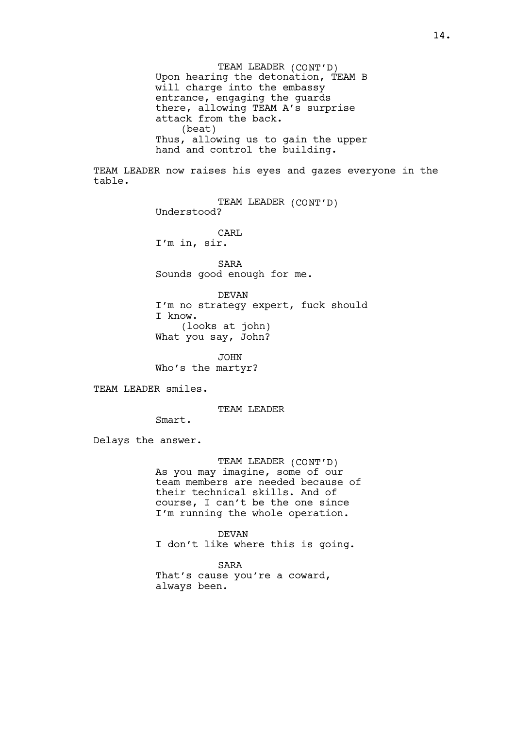TEAM LEADER (CONT'D) Upon hearing the detonation, TEAM B will charge into the embassy entrance, engaging the guards there, allowing TEAM A's surprise attack from the back. (beat) Thus, allowing us to gain the upper hand and control the building.

TEAM LEADER now raises his eyes and gazes everyone in the table.

> TEAM LEADER (CONT'D) Understood?

CARL I'm in, sir.

SARA Sounds good enough for me.

DEVAN I'm no strategy expert, fuck should I know. (looks at john) What you say, John?

JOHN Who's the martyr?

TEAM LEADER smiles.

TEAM LEADER

Smart.

Delays the answer.

TEAM LEADER (CONT'D) As you may imagine, some of our team members are needed because of their technical skills. And of course, I can't be the one since I'm running the whole operation.

DEVAN I don't like where this is going.

SARA That's cause you're a coward, always been.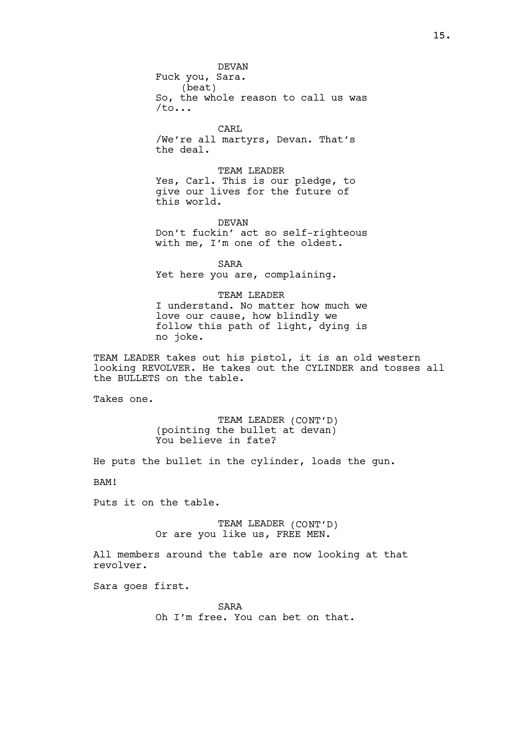DEVAN Fuck you, Sara. (beat) So, the whole reason to call us was /to...

CARL /We're all martyrs, Devan. That's the deal.

TEAM LEADER Yes, Carl. This is our pledge, to give our lives for the future of this world.

DEVAN Don't fuckin' act so self-righteous with me, I'm one of the oldest.

SARA Yet here you are, complaining.

TEAM LEADER I understand. No matter how much we love our cause, how blindly we follow this path of light, dying is no joke.

TEAM LEADER takes out his pistol, it is an old western looking REVOLVER. He takes out the CYLINDER and tosses all the BULLETS on the table.

Takes one.

TEAM LEADER (CONT'D) (pointing the bullet at devan) You believe in fate?

He puts the bullet in the cylinder, loads the gun.

BAM!

Puts it on the table.

TEAM LEADER (CONT'D) Or are you like us, FREE MEN.

All members around the table are now looking at that revolver.

Sara goes first.

SARA

Oh I'm free. You can bet on that.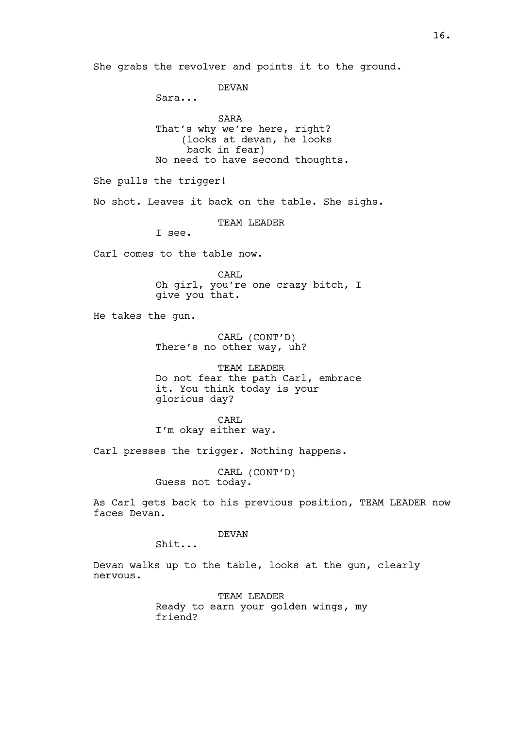She grabs the revolver and points it to the ground. DEVAN Sara... SARA That's why we're here, right? (looks at devan, he looks back in fear) No need to have second thoughts. She pulls the trigger! No shot. Leaves it back on the table. She sighs. TEAM LEADER I see. Carl comes to the table now. CARL Oh girl, you're one crazy bitch, I give you that. He takes the gun. CARL (CONT'D) There's no other way, uh? TEAM LEADER Do not fear the path Carl, embrace it. You think today is your glorious day? CARL I'm okay either way. Carl presses the trigger. Nothing happens. CARL (CONT'D) Guess not today. As Carl gets back to his previous position, TEAM LEADER now faces Devan. DEVAN Shit... Devan walks up to the table, looks at the gun, clearly nervous. TEAM LEADER Ready to earn your golden wings, my friend?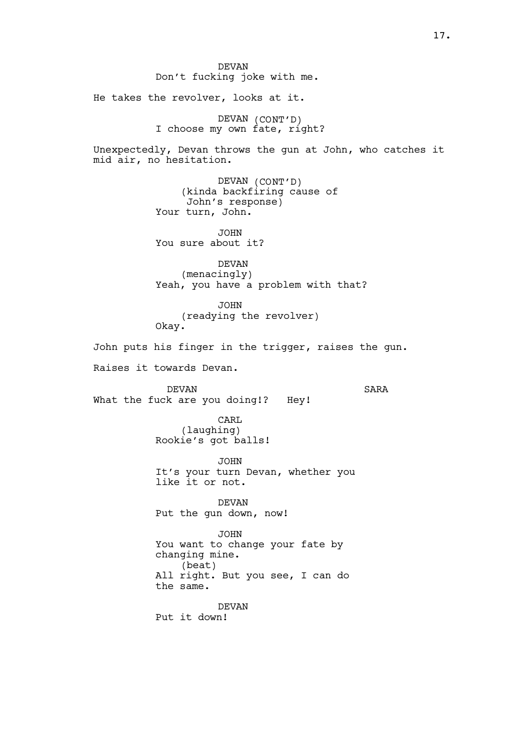DEVAN Don't fucking joke with me. He takes the revolver, looks at it. DEVAN (CONT'D) I choose my own fate, right? Unexpectedly, Devan throws the gun at John, who catches it mid air, no hesitation. DEVAN (CONT'D) (kinda backfiring cause of John's response) Your turn, John. JOHN You sure about it? DEVAN (menacingly) Yeah, you have a problem with that? JOHN (readying the revolver) Okay. John puts his finger in the trigger, raises the gun. Raises it towards Devan. DEVAN What the fuck are you doing!? Hey! SARA CARL (laughing) Rookie's got balls! JOHN It's your turn Devan, whether you like it or not. DEVAN Put the gun down, now! JOHN You want to change your fate by changing mine. (beat) All right. But you see, I can do the same. DEVAN Put it down!

17.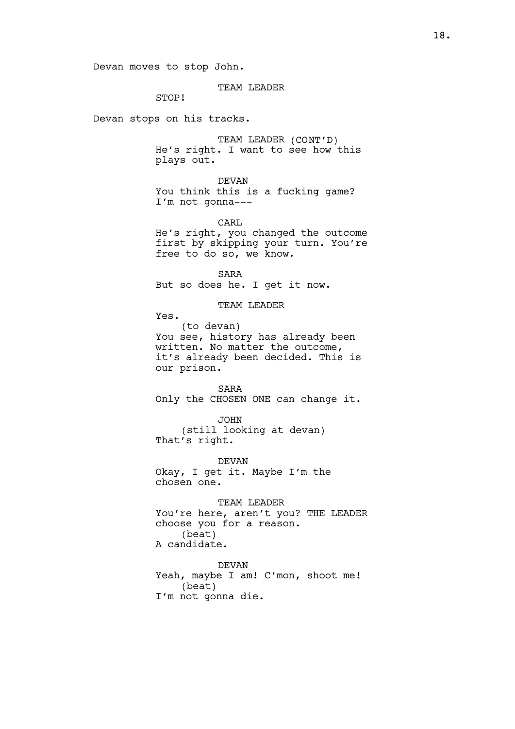## TEAM LEADER

STOP!

Devan stops on his tracks.

TEAM LEADER (CONT'D) He's right. I want to see how this plays out.

DEVAN You think this is a fucking game? I'm not gonna---

CARL He's right, you changed the outcome first by skipping your turn. You're free to do so, we know.

SARA But so does he. I get it now.

TEAM LEADER

Yes.

(to devan) You see, history has already been written. No matter the outcome, it's already been decided. This is our prison.

SARA Only the CHOSEN ONE can change it.

JOHN (still looking at devan) That's right.

DEVAN Okay, I get it. Maybe I'm the chosen one.

TEAM LEADER You're here, aren't you? THE LEADER choose you for a reason. (beat) A candidate.

DEVAN Yeah, maybe I am! C'mon, shoot me! (beat) I'm not gonna die.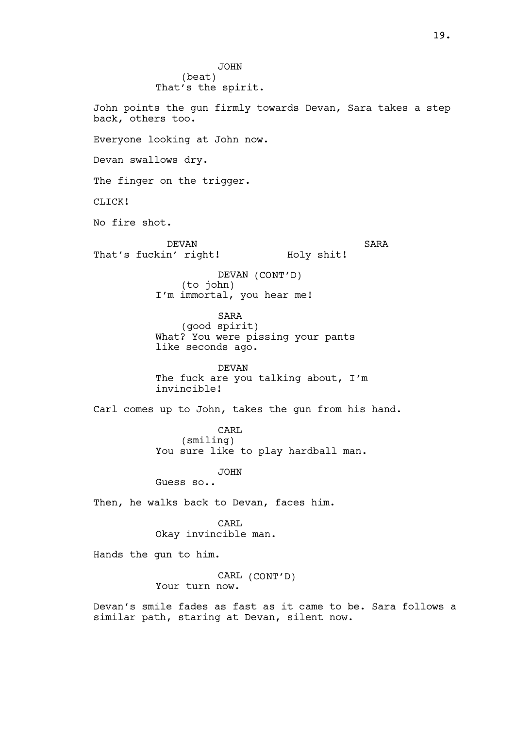JOHN (beat) That's the spirit. John points the gun firmly towards Devan, Sara takes a step back, others too. Everyone looking at John now. Devan swallows dry. The finger on the trigger. CLICK! No fire shot. DEVAN That's fuckin' right! SARA Holy shit! DEVAN (CONT'D) (to john) I'm immortal, you hear me! SARA (good spirit) What? You were pissing your pants like seconds ago. DEVAN The fuck are you talking about, I'm invincible! Carl comes up to John, takes the gun from his hand. CARL (smiling) You sure like to play hardball man. JOHN Guess so.. Then, he walks back to Devan, faces him. CARL Okay invincible man. Hands the gun to him. CARL (CONT'D) Your turn now. Devan's smile fades as fast as it came to be. Sara follows a similar path, staring at Devan, silent now.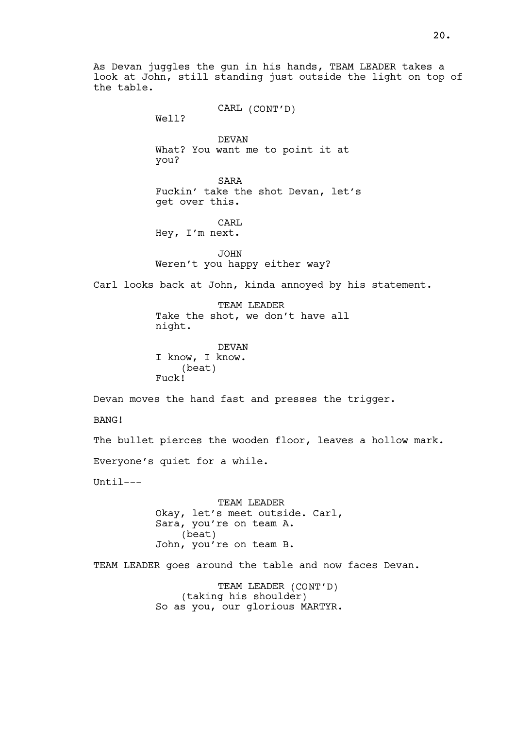As Devan juggles the gun in his hands, TEAM LEADER takes a look at John, still standing just outside the light on top of the table.

> CARL (CONT'D) Well?

DEVAN What? You want me to point it at you?

SARA Fuckin' take the shot Devan, let's get over this.

CARL Hey, I'm next.

**JOHN** Weren't you happy either way?

Carl looks back at John, kinda annoyed by his statement.

TEAM LEADER Take the shot, we don't have all night.

DEVAN I know, I know. (beat) Fuck!

Devan moves the hand fast and presses the trigger.

BANG!

The bullet pierces the wooden floor, leaves a hollow mark.

Everyone's quiet for a while.

 $[Inti]$ 

TEAM LEADER Okay, let's meet outside. Carl, Sara, you're on team A. (beat) John, you're on team B.

TEAM LEADER goes around the table and now faces Devan.

TEAM LEADER (CONT'D) (taking his shoulder) So as you, our glorious MARTYR.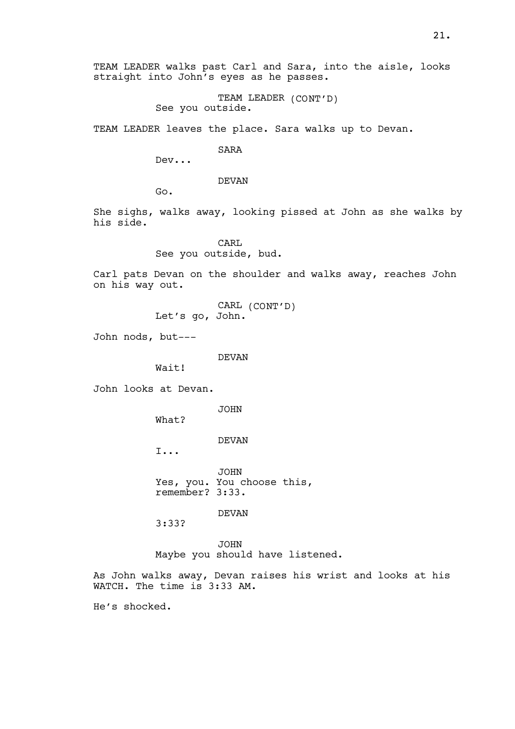21.

TEAM LEADER walks past Carl and Sara, into the aisle, looks straight into John's eyes as he passes.

> TEAM LEADER (CONT'D) See you outside.

TEAM LEADER leaves the place. Sara walks up to Devan.

SARA

Dev...

DEVAN

Go.

She sighs, walks away, looking pissed at John as she walks by his side.

> CARL See you outside, bud.

Carl pats Devan on the shoulder and walks away, reaches John on his way out.

> CARL (CONT'D) Let's go, John.

John nods, but---

DEVAN

Wait!

John looks at Devan.

JOHN

What?

DEVAN

I...

JOHN Yes, you. You choose this, remember? 3:33.

DEVAN

3:33?

JOHN Maybe you should have listened.

As John walks away, Devan raises his wrist and looks at his WATCH. The time is 3:33 AM.

He's shocked.